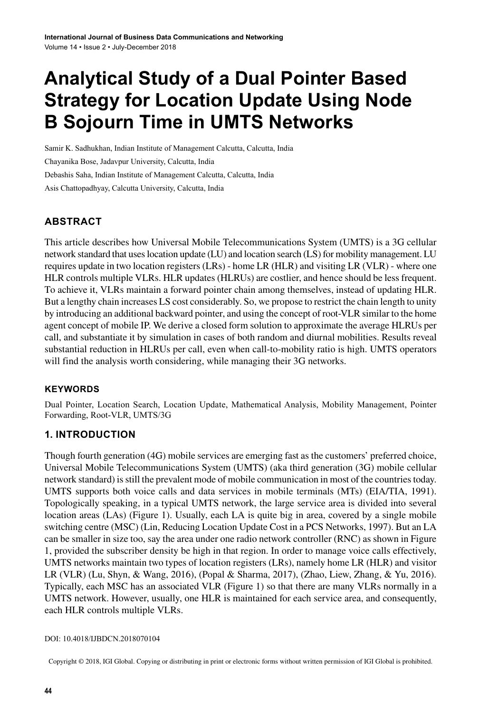# **Analytical Study of a Dual Pointer Based Strategy for Location Update Using Node B Sojourn Time in UMTS Networks**

Samir K. Sadhukhan, Indian Institute of Management Calcutta, Calcutta, India Chayanika Bose, Jadavpur University, Calcutta, India Debashis Saha, Indian Institute of Management Calcutta, Calcutta, India Asis Chattopadhyay, Calcutta University, Calcutta, India

## **ABSTRACT**

This article describes how Universal Mobile Telecommunications System (UMTS) is a 3G cellular network standard that useslocation update (LU) and location search (LS) for mobility management. LU requires update in two location registers (LRs) - home LR (HLR) and visiting LR (VLR) - where one HLR controls multiple VLRs. HLR updates (HLRUs) are costlier, and hence should be less frequent. To achieve it, VLRs maintain a forward pointer chain among themselves, instead of updating HLR. But a lengthy chain increases LS cost considerably. So, we propose to restrict the chain length to unity by introducing an additional backward pointer, and using the concept of root-VLR similar to the home agent concept of mobile IP. We derive a closed form solution to approximate the average HLRUs per call, and substantiate it by simulation in cases of both random and diurnal mobilities. Results reveal substantial reduction in HLRUs per call, even when call-to-mobility ratio is high. UMTS operators will find the analysis worth considering, while managing their 3G networks.

#### **Keywords**

Dual Pointer, Location Search, Location Update, Mathematical Analysis, Mobility Management, Pointer Forwarding, Root-VLR, UMTS/3G

#### **1. INTRODUCTION**

Though fourth generation (4G) mobile services are emerging fast as the customers' preferred choice, Universal Mobile Telecommunications System (UMTS) (aka third generation (3G) mobile cellular network standard) isstill the prevalent mode of mobile communication in most of the countriestoday. UMTS supports both voice calls and data services in mobile terminals (MTs) (EIA/TIA, 1991). Topologically speaking, in a typical UMTS network, the large service area is divided into several location areas (LAs) (Figure 1). Usually, each LA is quite big in area, covered by a single mobile switching centre (MSC) (Lin, Reducing Location Update Cost in a PCS Networks, 1997). But an LA can be smaller in size too, say the area under one radio network controller (RNC) as shown in Figure 1, provided the subscriber density be high in that region. In order to manage voice calls effectively, UMTS networks maintain two types of location registers (LRs), namely home LR (HLR) and visitor LR (VLR) (Lu, Shyn, & Wang, 2016), (Popal & Sharma, 2017), (Zhao, Liew, Zhang, & Yu, 2016). Typically, each MSC has an associated VLR (Figure 1) so that there are many VLRs normally in a UMTS network. However, usually, one HLR is maintained for each service area, and consequently, each HLR controls multiple VLRs.

DOI: 10.4018/IJBDCN.2018070104

Copyright © 2018, IGI Global. Copying or distributing in print or electronic forms without written permission of IGI Global is prohibited.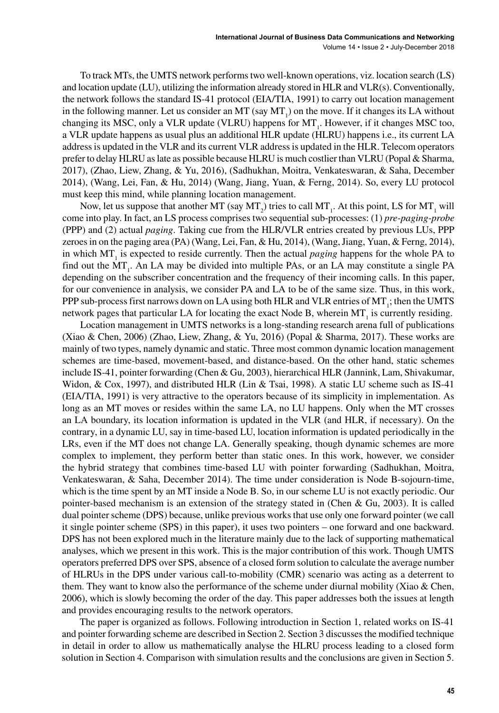To track MTs, the UMTS network performstwo well-known operations, viz. location search (LS) and location update (LU), utilizing the information already stored in HLR and VLR(s). Conventionally, the network follows the standard IS-41 protocol (EIA/TIA, 1991) to carry out location management in the following manner. Let us consider an MT (say  $MT_1$ ) on the move. If it changes its LA without changing its MSC, only a VLR update (VLRU) happens for  $MT_{1}$ . However, if it changes MSC too, a VLR update happens as usual plus an additional HLR update (HLRU) happens i.e., its current LA addressis updated in the VLR and its current VLR addressis updated in the HLR. Telecom operators prefer to delay HLRU aslate as possible because HLRU is much costlier than VLRU (Popal & Sharma, 2017), (Zhao, Liew, Zhang, & Yu, 2016), (Sadhukhan, Moitra, Venkateswaran, & Saha, December 2014), (Wang, Lei, Fan, & Hu, 2014) (Wang, Jiang, Yuan, & Ferng, 2014). So, every LU protocol must keep this mind, while planning location management.

Now, let us suppose that another MT (say MT<sub>2</sub>) tries to call MT<sub>1</sub>. At this point, LS for MT<sub>1</sub> will come into play. In fact, an LS process comprises two sequential sub-processes: (1) *pre-paging-probe* (PPP) and (2) actual *paging*. Taking cue from the HLR/VLR entries created by previous LUs, PPP zeroes in on the paging area (PA) (Wang, Lei, Fan, & Hu, 2014), (Wang, Jiang, Yuan, & Ferng, 2014), in which MT<sub>1</sub> is expected to reside currently. Then the actual *paging* happens for the whole PA to find out the  $MT_{1}$ . An LA may be divided into multiple PAs, or an LA may constitute a single PA depending on the subscriber concentration and the frequency of their incoming calls. In this paper, for our convenience in analysis, we consider PA and LA to be of the same size. Thus, in this work, PPP sub-process first narrows down on LA using both HLR and VLR entries of MT<sub>1</sub>; then the UMTS network pages that particular LA for locating the exact Node B, wherein  $MT$ , is currently residing.

Location management in UMTS networks is a long-standing research arena full of publications (Xiao & Chen, 2006) (Zhao, Liew, Zhang, & Yu, 2016) (Popal & Sharma, 2017). These works are mainly of two types, namely dynamic and static. Three most common dynamic location management schemes are time-based, movement-based, and distance-based. On the other hand, static schemes include IS-41, pointer forwarding (Chen & Gu, 2003), hierarchical HLR (Jannink, Lam, Shivakumar, Widon, & Cox, 1997), and distributed HLR (Lin & Tsai, 1998). A static LU scheme such as IS-41 (EIA/TIA, 1991) is very attractive to the operators because of its simplicity in implementation. As long as an MT moves or resides within the same LA, no LU happens. Only when the MT crosses an LA boundary, its location information is updated in the VLR (and HLR, if necessary). On the contrary, in a dynamic LU, say in time-based LU, location information is updated periodically in the LRs, even if the MT does not change LA. Generally speaking, though dynamic schemes are more complex to implement, they perform better than static ones. In this work, however, we consider the hybrid strategy that combines time-based LU with pointer forwarding (Sadhukhan, Moitra, Venkateswaran, & Saha, December 2014). The time under consideration is Node B-sojourn-time, which is the time spent by an MT inside a Node B. So, in our scheme LU is not exactly periodic. Our pointer-based mechanism is an extension of the strategy stated in (Chen & Gu, 2003). It is called dual pointer scheme (DPS) because, unlike previous works that use only one forward pointer (we call it single pointer scheme (SPS) in this paper), it uses two pointers – one forward and one backward. DPS has not been explored much in the literature mainly due to the lack of supporting mathematical analyses, which we present in this work. This is the major contribution of this work. Though UMTS operators preferred DPS over SPS, absence of a closed form solution to calculate the average number of HLRUs in the DPS under various call-to-mobility (CMR) scenario was acting as a deterrent to them. They want to know also the performance of the scheme under diurnal mobility (Xiao & Chen, 2006), which is slowly becoming the order of the day. This paper addresses both the issues at length and provides encouraging results to the network operators.

The paper is organized as follows. Following introduction in Section 1, related works on IS-41 and pointer forwarding scheme are described in Section 2. Section 3 discussesthe modified technique in detail in order to allow us mathematically analyse the HLRU process leading to a closed form solution in Section 4. Comparison with simulation results and the conclusions are given in Section 5.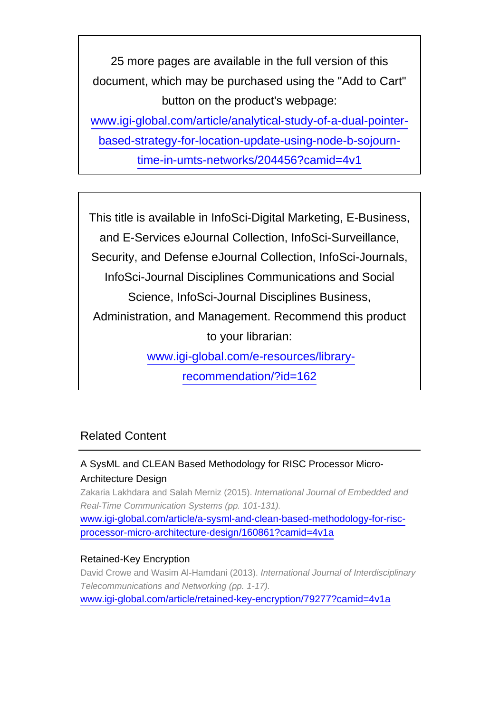25 more pages are available in the full version of this document, which may be purchased using the "Add to Cart" button on the product's webpage:

[www.igi-global.com/article/analytical-study-of-a-dual-pointer](http://www.igi-global.com/article/analytical-study-of-a-dual-pointer-based-strategy-for-location-update-using-node-b-sojourn-time-in-umts-networks/204456?camid=4v1)[based-strategy-for-location-update-using-node-b-sojourn-](http://www.igi-global.com/article/analytical-study-of-a-dual-pointer-based-strategy-for-location-update-using-node-b-sojourn-time-in-umts-networks/204456?camid=4v1)

[time-in-umts-networks/204456?camid=4v1](http://www.igi-global.com/article/analytical-study-of-a-dual-pointer-based-strategy-for-location-update-using-node-b-sojourn-time-in-umts-networks/204456?camid=4v1)

This title is available in InfoSci-Digital Marketing, E-Business, and E-Services eJournal Collection, InfoSci-Surveillance, Security, and Defense eJournal Collection, InfoSci-Journals, InfoSci-Journal Disciplines Communications and Social Science, InfoSci-Journal Disciplines Business, Administration, and Management. Recommend this product to your librarian: [www.igi-global.com/e-resources/library-](http://www.igi-global.com/e-resources/library-recommendation/?id=162)

[recommendation/?id=162](http://www.igi-global.com/e-resources/library-recommendation/?id=162)

# Related Content

# A SysML and CLEAN Based Methodology for RISC Processor Micro-Architecture Design

Zakaria Lakhdara and Salah Merniz (2015). International Journal of Embedded and Real-Time Communication Systems (pp. 101-131).

[www.igi-global.com/article/a-sysml-and-clean-based-methodology-for-risc](http://www.igi-global.com/article/a-sysml-and-clean-based-methodology-for-risc-processor-micro-architecture-design/160861?camid=4v1a)[processor-micro-architecture-design/160861?camid=4v1a](http://www.igi-global.com/article/a-sysml-and-clean-based-methodology-for-risc-processor-micro-architecture-design/160861?camid=4v1a)

## Retained-Key Encryption

David Crowe and Wasim Al-Hamdani (2013). International Journal of Interdisciplinary Telecommunications and Networking (pp. 1-17). [www.igi-global.com/article/retained-key-encryption/79277?camid=4v1a](http://www.igi-global.com/article/retained-key-encryption/79277?camid=4v1a)